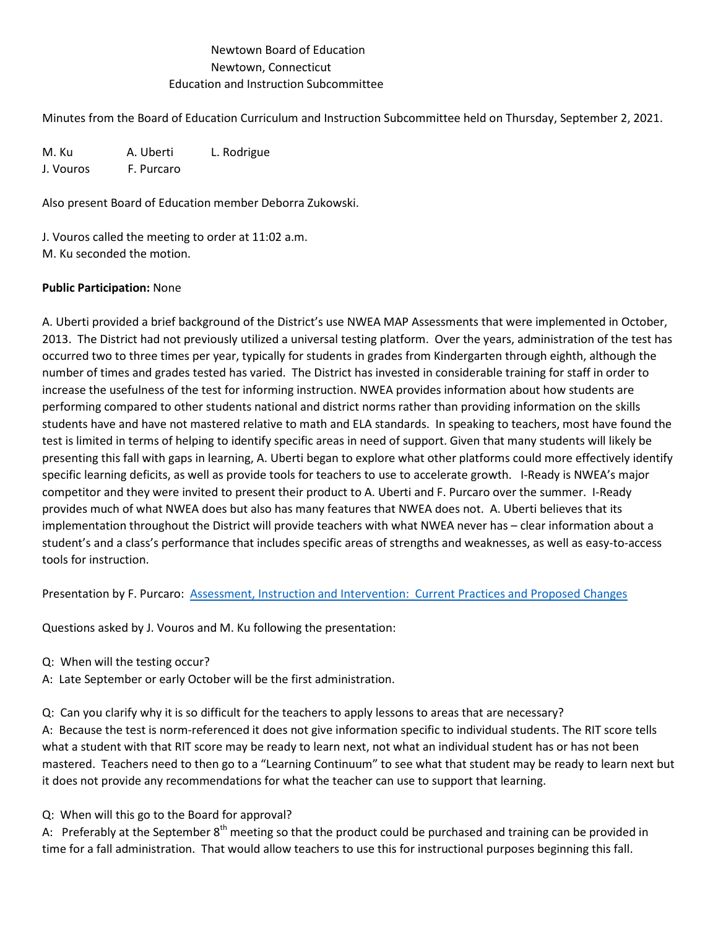## Newtown Board of Education Newtown, Connecticut Education and Instruction Subcommittee

Minutes from the Board of Education Curriculum and Instruction Subcommittee held on Thursday, September 2, 2021.

M. Ku A. Uberti L. Rodrigue J. Vouros F. Purcaro

Also present Board of Education member Deborra Zukowski.

J. Vouros called the meeting to order at 11:02 a.m. M. Ku seconded the motion.

## **Public Participation:** None

A. Uberti provided a brief background of the District's use NWEA MAP Assessments that were implemented in October, 2013. The District had not previously utilized a universal testing platform. Over the years, administration of the test has occurred two to three times per year, typically for students in grades from Kindergarten through eighth, although the number of times and grades tested has varied. The District has invested in considerable training for staff in order to increase the usefulness of the test for informing instruction. NWEA provides information about how students are performing compared to other students national and district norms rather than providing information on the skills students have and have not mastered relative to math and ELA standards. In speaking to teachers, most have found the test is limited in terms of helping to identify specific areas in need of support. Given that many students will likely be presenting this fall with gaps in learning, A. Uberti began to explore what other platforms could more effectively identify specific learning deficits, as well as provide tools for teachers to use to accelerate growth. I-Ready is NWEA's major competitor and they were invited to present their product to A. Uberti and F. Purcaro over the summer. I-Ready provides much of what NWEA does but also has many features that NWEA does not. A. Uberti believes that its implementation throughout the District will provide teachers with what NWEA never has – clear information about a student's and a class's performance that includes specific areas of strengths and weaknesses, as well as easy-to-access tools for instruction.

Presentation by F. Purcaro: [Assessment, Instruction and Intervention: Current Practices and Proposed Changes](https://drive.google.com/open?id=16u2gEBcwmNZ29ImPZt3gIV7lVj6A7kvy&authuser=ubertia%40newtown.k12.ct.us&usp=drive_fs)

Questions asked by J. Vouros and M. Ku following the presentation:

- Q: When will the testing occur?
- A: Late September or early October will be the first administration.
- Q: Can you clarify why it is so difficult for the teachers to apply lessons to areas that are necessary?

A: Because the test is norm-referenced it does not give information specific to individual students. The RIT score tells what a student with that RIT score may be ready to learn next, not what an individual student has or has not been mastered. Teachers need to then go to a "Learning Continuum" to see what that student may be ready to learn next but it does not provide any recommendations for what the teacher can use to support that learning.

Q: When will this go to the Board for approval?

A: Preferably at the September  $8<sup>th</sup>$  meeting so that the product could be purchased and training can be provided in time for a fall administration. That would allow teachers to use this for instructional purposes beginning this fall.